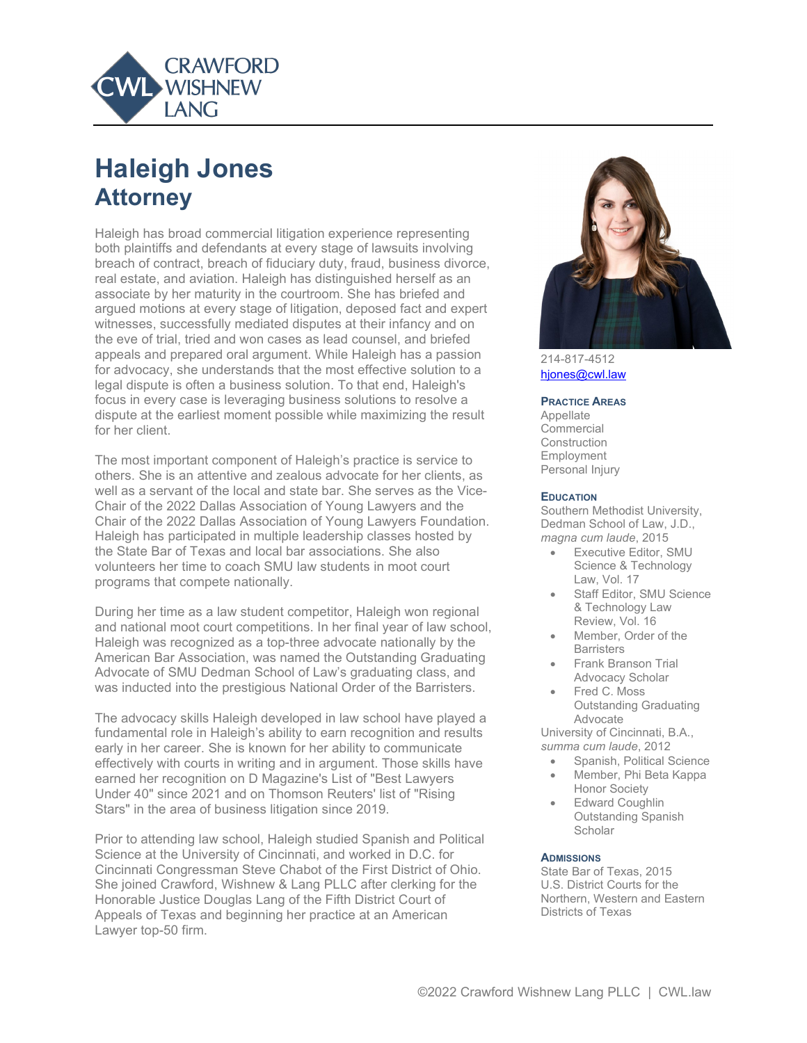

# **Haleigh Jones Attorney**

Haleigh has broad commercial litigation experience representing both plaintiffs and defendants at every stage of lawsuits involving breach of contract, breach of fiduciary duty, fraud, business divorce, real estate, and aviation. Haleigh has distinguished herself as an associate by her maturity in the courtroom. She has briefed and argued motions at every stage of litigation, deposed fact and expert witnesses, successfully mediated disputes at their infancy and on the eve of trial, tried and won cases as lead counsel, and briefed appeals and prepared oral argument. While Haleigh has a passion for advocacy, she understands that the most effective solution to a legal dispute is often a business solution. To that end, Haleigh's focus in every case is leveraging business solutions to resolve a dispute at the earliest moment possible while maximizing the result for her client.

The most important component of Haleigh's practice is service to others. She is an attentive and zealous advocate for her clients, as well as a servant of the local and state bar. She serves as the Vice-Chair of the 2022 Dallas Association of Young Lawyers and the Chair of the 2022 Dallas Association of Young Lawyers Foundation. Haleigh has participated in multiple leadership classes hosted by the State Bar of Texas and local bar associations. She also volunteers her time to coach SMU law students in moot court programs that compete nationally.

During her time as a law student competitor, Haleigh won regional and national moot court competitions. In her final year of law school, Haleigh was recognized as a top-three advocate nationally by the American Bar Association, was named the Outstanding Graduating Advocate of SMU Dedman School of Law's graduating class, and was inducted into the prestigious National Order of the Barristers.

The advocacy skills Haleigh developed in law school have played a fundamental role in Haleigh's ability to earn recognition and results early in her career. She is known for her ability to communicate effectively with courts in writing and in argument. Those skills have earned her recognition on D Magazine's List of "Best Lawyers Under 40" since 2021 and on Thomson Reuters' list of "Rising Stars" in the area of business litigation since 2019.

Prior to attending law school, Haleigh studied Spanish and Political Science at the University of Cincinnati, and worked in D.C. for Cincinnati Congressman Steve Chabot of the First District of Ohio. She joined Crawford, Wishnew & Lang PLLC after clerking for the Honorable Justice Douglas Lang of the Fifth District Court of Appeals of Texas and beginning her practice at an American Lawyer top-50 firm.



214-817-4512 [hjones@cwl.law](mailto:hjones@cwl.law)

#### **PRACTICE AREAS**

Appellate Commercial Construction Employment Personal Injury

#### **EDUCATION**

Southern Methodist University, Dedman School of Law, J.D., *magna cum laude*, 2015

- Executive Editor, SMU Science & Technology Law, Vol. 17
- Staff Editor, SMU Science & Technology Law Review, Vol. 16
- Member, Order of the **Barristers**
- Frank Branson Trial Advocacy Scholar
- Fred C. Moss Outstanding Graduating Advocate

University of Cincinnati, B.A., *summa cum laude*, 2012

- Spanish, Political Science
- Member, Phi Beta Kappa Honor Society
- **Edward Coughlin** Outstanding Spanish **Scholar**

#### **ADMISSIONS**

State Bar of Texas, 2015 U.S. District Courts for the Northern, Western and Eastern Districts of Texas